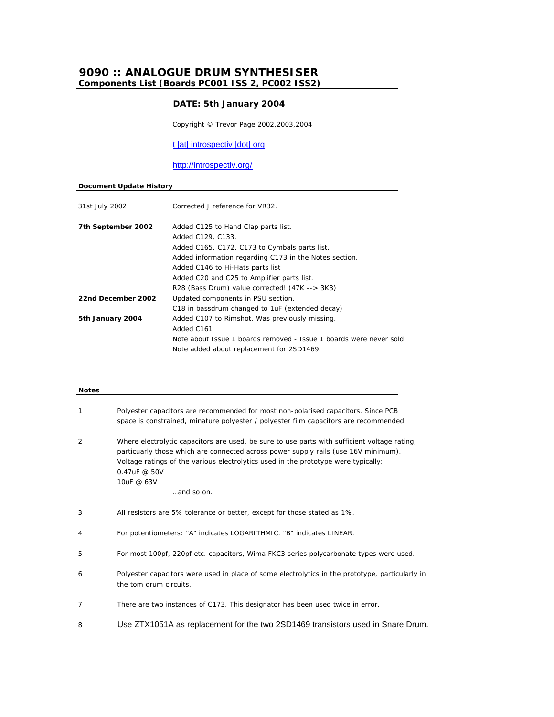# **9090 :: ANALOGUE DRUM SYNTHESISER Components List (Boards PC001 ISS 2, PC002 ISS2)**

# **DATE: 5th January 2004**

Copyright © Trevor Page 2002,2003,2004

t |at| introspectiv |dot| org

http://introspectiv.org/

#### **Document Update History**

| 31st July 2002     | Corrected J reference for VR32.                                    |
|--------------------|--------------------------------------------------------------------|
| 7th September 2002 | Added C125 to Hand Clap parts list.                                |
|                    | Added C129, C133.                                                  |
|                    | Added C165, C172, C173 to Cymbals parts list.                      |
|                    | Added information regarding C173 in the Notes section.             |
|                    | Added C146 to Hi-Hats parts list                                   |
|                    | Added C20 and C25 to Amplifier parts list.                         |
|                    | R28 (Bass Drum) value corrected! (47K --> 3K3)                     |
| 22nd December 2002 | Updated components in PSU section.                                 |
|                    | C18 in bassdrum changed to 1uF (extended decay)                    |
| 5th January 2004   | Added C107 to Rimshot. Was previously missing.                     |
|                    | Added C161                                                         |
|                    | Note about Issue 1 boards removed - Issue 1 boards were never sold |
|                    | Note added about replacement for 2SD1469.                          |
|                    |                                                                    |

# **Notes** 1 Polyester capacitors are recommended for most non-polarised capacitors. Since PCB space is constrained, minature polyester / polyester film capacitors are recommended. 2 Where electrolytic capacitors are used, be sure to use parts with sufficient voltage rating, particuarly those which are connected across power supply rails (use 16V minimum). Voltage ratings of the various electrolytics used in the prototype were typically: 0.47uF @ 50V 10uF @ 63V …and so on. 3 All resistors are 5% tolerance or better, except for those stated as 1%. 4 For potentiometers: "A" indicates LOGARITHMIC. "B" indicates LINEAR. 5 For most 100pf, 220pf etc. capacitors, Wima FKC3 series polycarbonate types were used. 6 Polyester capacitors were used in place of some electrolytics in the prototype, particularly in the tom drum circuits. 7 There are two instances of C173. This designator has been used twice in error. 8 Use ZTX1051A as replacement for the two 2SD1469 transistors used in Snare Drum.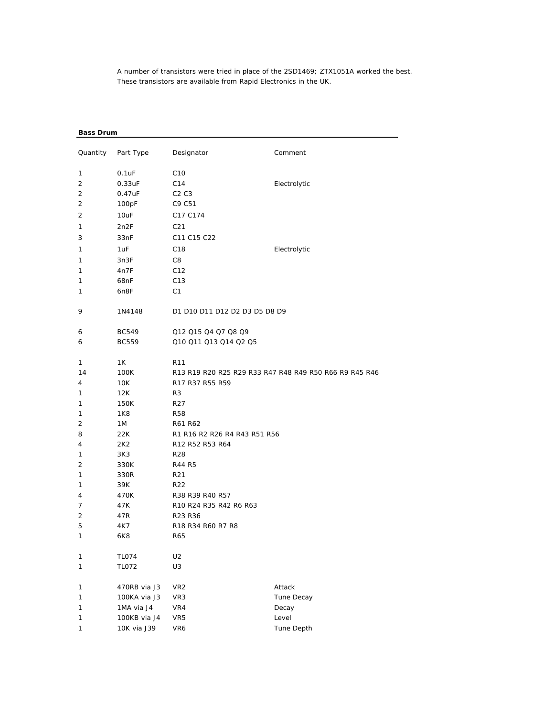A number of transistors were tried in place of the 2SD1469; ZTX1051A worked the best. These transistors are available from Rapid Electronics in the UK.

## **Bass Drum**

|    | Quantity Part Type | Designator                                      | Comment                                                |
|----|--------------------|-------------------------------------------------|--------------------------------------------------------|
| 1  | $0.1$ u $F$        | C <sub>10</sub>                                 |                                                        |
| 2  | $0.33$ u $F$       | C14                                             | Electrolytic                                           |
| 2  | 0.47uF             | C2C3                                            |                                                        |
| 2  | 100pF              | C9 C51                                          |                                                        |
| 2  | 10uF               | C17 C174                                        |                                                        |
|    |                    |                                                 |                                                        |
| 1  | 2n2F               | C <sub>21</sub>                                 |                                                        |
| 3  | 33nF               | C <sub>11</sub> C <sub>15</sub> C <sub>22</sub> |                                                        |
| 1  | 1uF                | C <sub>18</sub>                                 | Electrolytic                                           |
| 1  | 3n3F               | C8                                              |                                                        |
| 1  | 4n7F               | C12                                             |                                                        |
| 1  | 68nF               | C <sub>13</sub>                                 |                                                        |
| 1  | 6n8F               | C1                                              |                                                        |
| 9  | 1N4148             | D1 D10 D11 D12 D2 D3 D5 D8 D9                   |                                                        |
| 6  | <b>BC549</b>       | Q12 Q15 Q4 Q7 Q8 Q9                             |                                                        |
| 6  | <b>BC559</b>       | Q10 Q11 Q13 Q14 Q2 Q5                           |                                                        |
|    |                    |                                                 |                                                        |
| 1  | 1K                 | R <sub>11</sub>                                 |                                                        |
| 14 | 100K               |                                                 | R13 R19 R20 R25 R29 R33 R47 R48 R49 R50 R66 R9 R45 R46 |
| 4  | 10K                | R17 R37 R55 R59                                 |                                                        |
| 1  | 12K                | R <sub>3</sub>                                  |                                                        |
| 1  | 150K               | R27                                             |                                                        |
| 1  | 1K8                | <b>R58</b>                                      |                                                        |
| 2  | 1 M                | R61 R62                                         |                                                        |
| 8  | 22K                | R1 R16 R2 R26 R4 R43 R51 R56                    |                                                        |
| 4  | 2K2                | R12 R52 R53 R64                                 |                                                        |
| 1  | 3K3                | R28                                             |                                                        |
| 2  | 330K               | R44 R5                                          |                                                        |
| 1  | 330R               | R21                                             |                                                        |
| 1  | 39K                | R <sub>22</sub>                                 |                                                        |
| 4  | 470K               | R38 R39 R40 R57                                 |                                                        |
| 7  | 47K                | R10 R24 R35 R42 R6 R63                          |                                                        |
| 2  | 47R                | R23 R36                                         |                                                        |
| 5  | 4K7                | R18 R34 R60 R7 R8                               |                                                        |
| 1  | 6K8                | R65                                             |                                                        |
| 1  | <b>TL074</b>       | U <sub>2</sub>                                  |                                                        |
| 1  | <b>TL072</b>       | U3                                              |                                                        |
|    |                    |                                                 |                                                        |
| 1  | 470RB via J3       | VR <sub>2</sub>                                 | Attack                                                 |
| 1  | 100KA via J3       | VR3                                             | Tune Decay                                             |
| 1  | 1MA via J4         | VR4                                             | Decay                                                  |
| 1  | 100KB via J4       | VR5                                             | Level                                                  |
| 1  | 10K via J39        | VR6                                             | Tune Depth                                             |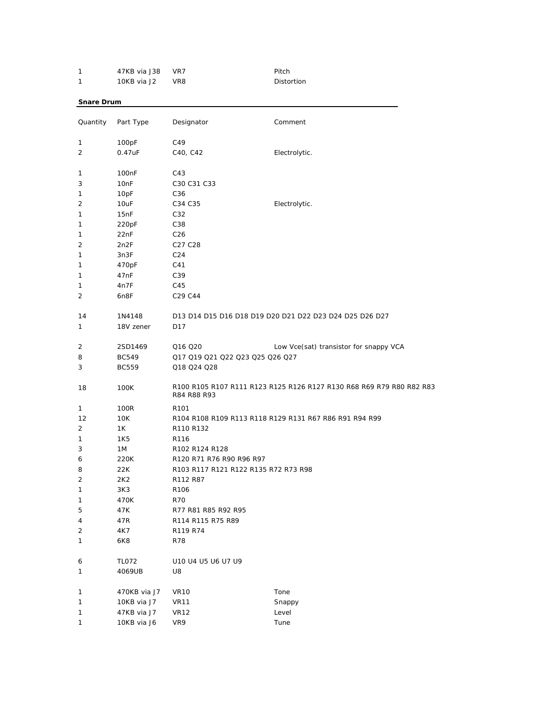| 1                 | 47KB via J38       | VR7                                  | Pitch                                                                |
|-------------------|--------------------|--------------------------------------|----------------------------------------------------------------------|
| 1                 | 10KB via J2        | VR8                                  | Distortion                                                           |
| <b>Snare Drum</b> |                    |                                      |                                                                      |
|                   |                    |                                      |                                                                      |
| Quantity          | Part Type          | Designator                           | Comment                                                              |
| 1                 | 100pF              | C49                                  |                                                                      |
| 2                 | 0.47uF             | C40, C42                             | Electrolytic.                                                        |
| 1                 | 100 <sub>n</sub> F | C43                                  |                                                                      |
| 3                 | 10nF               | C30 C31 C33                          |                                                                      |
| 1                 | 10pF               | C36                                  |                                                                      |
| 2                 | 10uF               | C34 C35                              | Electrolytic.                                                        |
| 1                 | 15nF               | C32                                  |                                                                      |
| 1                 | 220pF              | C38                                  |                                                                      |
| 1                 | 22nF               | C <sub>26</sub>                      |                                                                      |
| 2                 | 2n2F               | C <sub>27</sub> C <sub>28</sub>      |                                                                      |
| 1                 | 3n3F               | C <sub>24</sub>                      |                                                                      |
| 1                 | 470pF              | C41                                  |                                                                      |
| 1                 | 47nF               | C39                                  |                                                                      |
| 1                 | 4n7F               | C45                                  |                                                                      |
| 2                 | 6n8F               | C29 C44                              |                                                                      |
|                   |                    |                                      |                                                                      |
| 14                | 1N4148             |                                      | D13 D14 D15 D16 D18 D19 D20 D21 D22 D23 D24 D25 D26 D27              |
| 1                 | 18V zener          | D17                                  |                                                                      |
| 2                 | 2SD1469            | Q16 Q20                              | Low Vce(sat) transistor for snappy VCA                               |
|                   |                    | Q17 Q19 Q21 Q22 Q23 Q25 Q26 Q27      |                                                                      |
| 8                 | <b>BC549</b>       |                                      |                                                                      |
| 3                 | <b>BC559</b>       | Q18 Q24 Q28                          |                                                                      |
| 18                | 100K               | R84 R88 R93                          | R100 R105 R107 R111 R123 R125 R126 R127 R130 R68 R69 R79 R80 R82 R83 |
| 1                 | 100R               | R <sub>101</sub>                     |                                                                      |
| 12                | 10K                |                                      | R104 R108 R109 R113 R118 R129 R131 R67 R86 R91 R94 R99               |
| 2                 | 1K                 | R110 R132                            |                                                                      |
| 1                 | 1K5                | R <sub>116</sub>                     |                                                                      |
| 3                 | 1M                 | R102 R124 R128                       |                                                                      |
| 6                 | 220K               | R120 R71 R76 R90 R96 R97             |                                                                      |
| 8                 | 22K                | R103 R117 R121 R122 R135 R72 R73 R98 |                                                                      |
| $\overline{2}$    | 2K2                | R112 R87                             |                                                                      |
| 1                 | 3K3                | R106                                 |                                                                      |
| 1                 | 470K               | <b>R70</b>                           |                                                                      |
| 5                 | 47K                | R77 R81 R85 R92 R95                  |                                                                      |
| 4                 | 47R                | R114 R115 R75 R89                    |                                                                      |
| 2                 | 4K7                | R119 R74                             |                                                                      |
| 1                 | 6K8                | <b>R78</b>                           |                                                                      |
| 6                 | TL072              | U10 U4 U5 U6 U7 U9                   |                                                                      |
| 1                 | 4069UB             | U8                                   |                                                                      |
|                   |                    |                                      |                                                                      |
| 1                 | 470KB via J7       | <b>VR10</b>                          | Tone                                                                 |
| 1                 | 10KB via J7        | <b>VR11</b>                          | Snappy                                                               |
| 1                 | 47KB via J7        | <b>VR12</b>                          | Level                                                                |
| 1                 | 10KB via J6        | VR9                                  | Tune                                                                 |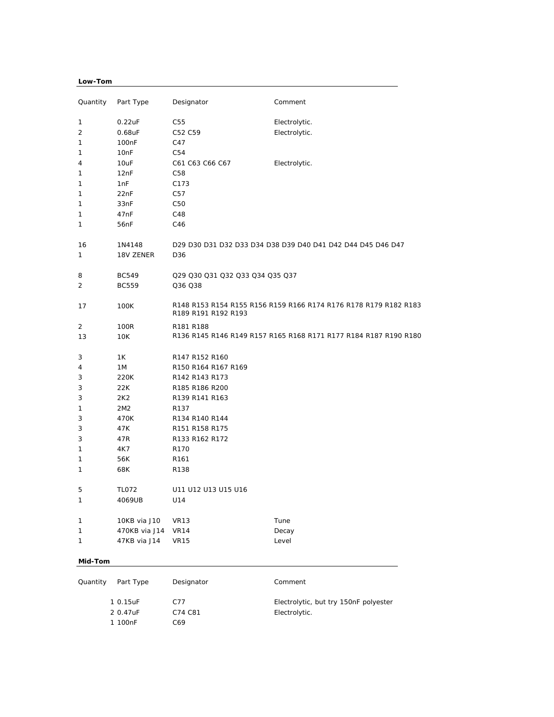# **Low-Tom**

| Quantity | Part Type         | Designator                      | Comment                                                          |
|----------|-------------------|---------------------------------|------------------------------------------------------------------|
| 1        | $0.22$ uF         | C55                             | Electrolytic.                                                    |
| 2        | 0.68uF            | C52 C59                         | Electrolytic.                                                    |
| 1        | 100 <sub>nF</sub> | C47                             |                                                                  |
| 1        | 10nF              | C54                             |                                                                  |
| 4        | 10uF              | C61 C63 C66 C67                 | Electrolytic.                                                    |
| 1        | 12nF              | C58                             |                                                                  |
| 1        | 1nF               | C173                            |                                                                  |
| 1        | 22nF              | C57                             |                                                                  |
| 1        | 33nF              | C50                             |                                                                  |
| 1        | 47 <sub>nF</sub>  | C48                             |                                                                  |
| 1        | 56nF              | C46                             |                                                                  |
| 16       | 1N4148            |                                 | D29 D30 D31 D32 D33 D34 D38 D39 D40 D41 D42 D44 D45 D46 D47      |
| 1        | 18V ZENER         | D <sub>36</sub>                 |                                                                  |
| 8        | <b>BC549</b>      | Q29 Q30 Q31 Q32 Q33 Q34 Q35 Q37 |                                                                  |
| 2        | <b>BC559</b>      | Q36 Q38                         |                                                                  |
| 17       | 100K              | R189 R191 R192 R193             | R148 R153 R154 R155 R156 R159 R166 R174 R176 R178 R179 R182 R183 |
| 2        | 100R              | R181 R188                       |                                                                  |
| 13       | 10K               |                                 | R136 R145 R146 R149 R157 R165 R168 R171 R177 R184 R187 R190 R180 |
| 3        | 1Κ                | R147 R152 R160                  |                                                                  |
| 4        | 1M                | R150 R164 R167 R169             |                                                                  |
| 3        | 220K              | R142 R143 R173                  |                                                                  |
| 3        | 22K               | R185 R186 R200                  |                                                                  |
| 3        | 2K <sub>2</sub>   | R139 R141 R163                  |                                                                  |
| 1        | 2M2               | R <sub>137</sub>                |                                                                  |
| 3        | 470K              | R134 R140 R144                  |                                                                  |
| 3        | 47K               | R151 R158 R175                  |                                                                  |
| 3        | 47R               | R133 R162 R172                  |                                                                  |
| 1        | 4K7               | R <sub>170</sub>                |                                                                  |
| 1        | 56K               | R <sub>161</sub>                |                                                                  |
| 1        | 68K               | R <sub>138</sub>                |                                                                  |
| 5        | <b>TL072</b>      | U11 U12 U13 U15 U16             |                                                                  |
| 1        | 4069UB            | U14                             |                                                                  |
| 1        | 10KB via J10      | <b>VR13</b>                     | Tune                                                             |
| 1        | 470KB via J14     | <b>VR14</b>                     | Decay                                                            |
| 1        | 47KB via J14      | <b>VR15</b>                     | Level                                                            |
| Mid-Tom  |                   |                                 |                                                                  |
|          |                   |                                 |                                                                  |
| Quantity | Part Type         | Designator                      | Comment                                                          |

 0.15uF C77 *Electrolytic, but try 150nF polyester*  0.47uF C74 C81 *Electrolytic.* 100nF C69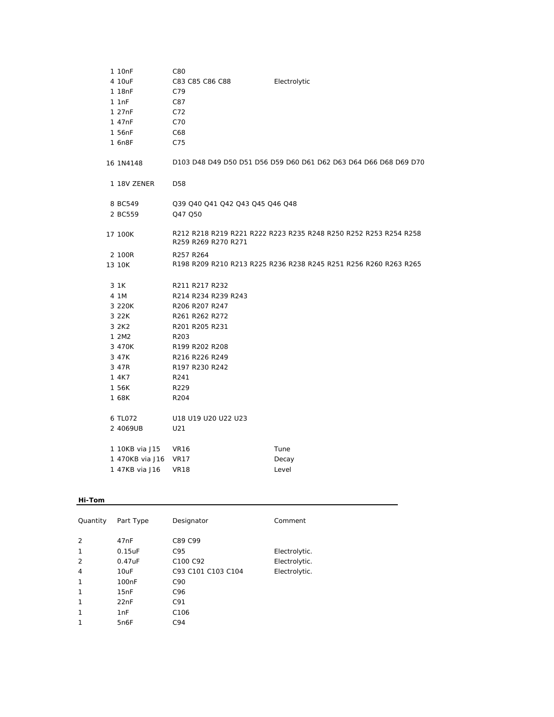| 1 10nF             | C80                             |                                                                  |
|--------------------|---------------------------------|------------------------------------------------------------------|
| 4 10uF             | C83 C85 C86 C88                 | Electrolytic                                                     |
| 1 18nF             | C79                             |                                                                  |
| 1.1nF              | C87                             |                                                                  |
| 1 27 <sub>nF</sub> | C72                             |                                                                  |
| 1 47nF             | C70                             |                                                                  |
| 1 56nF             | C68                             |                                                                  |
| 1 6n8F             | C75                             |                                                                  |
| 16 1N4148          |                                 | D103 D48 D49 D50 D51 D56 D59 D60 D61 D62 D63 D64 D66 D68 D69 D70 |
| 1 18V ZENER        | D <sub>58</sub>                 |                                                                  |
| 8 BC549            | Q39 Q40 Q41 Q42 Q43 Q45 Q46 Q48 |                                                                  |
| 2 BC559            | Q47 Q50                         |                                                                  |
| 17 100K            | R259 R269 R270 R271             | R212 R218 R219 R221 R222 R223 R235 R248 R250 R252 R253 R254 R258 |
| 2 100R             | R257 R264                       |                                                                  |
| 13 10K             |                                 | R198 R209 R210 R213 R225 R236 R238 R245 R251 R256 R260 R263 R265 |
| 3 1 K              | R211 R217 R232                  |                                                                  |
| 4 1M               | R214 R234 R239 R243             |                                                                  |
| 3 220K             | R206 R207 R247                  |                                                                  |
| 3 22K              | R261 R262 R272                  |                                                                  |
| 3 2K2              | R201 R205 R231                  |                                                                  |
| 1 2M2              | R <sub>203</sub>                |                                                                  |
| 3 470K             | R199 R202 R208                  |                                                                  |
| 3 47K              | R216 R226 R249                  |                                                                  |
| 3 47R              | R197 R230 R242                  |                                                                  |
| 1 4K7              | R <sub>241</sub>                |                                                                  |
| 1 56K              | R229                            |                                                                  |
| 1 68K              | R <sub>204</sub>                |                                                                  |
| 6 TL072            | U18 U19 U20 U22 U23             |                                                                  |
| 2 4069UB           | U21                             |                                                                  |
| 1 10KB via J15     | <b>VR16</b>                     | Tune                                                             |
| 1 470KB via J16    | <b>VR17</b>                     | Decay                                                            |
| 1 47KB via J16     | <b>VR18</b>                     | Level                                                            |

## **Hi-Tom**

| Quantity       | Part Type          | Designator                       | Comment       |
|----------------|--------------------|----------------------------------|---------------|
| 2<br>1         | 47nF<br>0.15uF     | C89 C99<br>C95                   | Electrolytic. |
| $\overline{2}$ | 0.47uF             | C <sub>100</sub> C <sub>92</sub> | Electrolytic. |
| $\overline{4}$ | 10uF               | C93 C101 C103 C104               | Electrolytic. |
| 1              | 100 <sub>n</sub> F | C90                              |               |
| 1              | 15nF               | C96                              |               |
| 1              | 22nF               | C91                              |               |
| 1              | 1nF                | C <sub>106</sub>                 |               |
| 1              | 5n6F               | C94                              |               |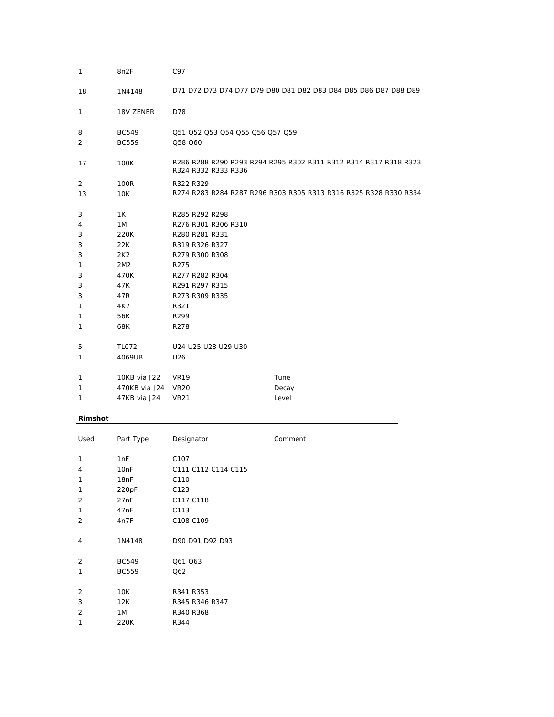| $\mathbf{1}$ | 8n2F            | C97                                   |                                                                  |
|--------------|-----------------|---------------------------------------|------------------------------------------------------------------|
| 18           | 1N4148          |                                       | D71 D72 D73 D74 D77 D79 D80 D81 D82 D83 D84 D85 D86 D87 D88 D89  |
| 1            | 18V ZENER       | D78                                   |                                                                  |
| 8            | <b>BC549</b>    | Q51 Q52 Q53 Q54 Q55 Q56 Q57 Q59       |                                                                  |
| 2            | <b>BC559</b>    | Q58 Q60                               |                                                                  |
| 17           | 100K            | R324 R332 R333 R336                   | R286 R288 R290 R293 R294 R295 R302 R311 R312 R314 R317 R318 R323 |
| 2            | 100R            | R322 R329                             |                                                                  |
| 13           | 10K             |                                       | R274 R283 R284 R287 R296 R303 R305 R313 R316 R325 R328 R330 R334 |
|              |                 |                                       |                                                                  |
| 3            | 1K<br>1M        | R285 R292 R298<br>R276 R301 R306 R310 |                                                                  |
| 4<br>3       | 220K            | R280 R281 R331                        |                                                                  |
| 3            | 22K             | R319 R326 R327                        |                                                                  |
| 3            | 2K <sub>2</sub> | R279 R300 R308                        |                                                                  |
| 1            | 2M <sub>2</sub> | R275                                  |                                                                  |
| 3            | 470K            | R277 R282 R304                        |                                                                  |
| 3            | 47K             | R291 R297 R315                        |                                                                  |
| 3            | 47R             | R273 R309 R335                        |                                                                  |
| 1            | 4K7             | R321                                  |                                                                  |
| 1            | 56K             | R299                                  |                                                                  |
| 1            | 68K             | R278                                  |                                                                  |
| 5            | <b>TL072</b>    | U24 U25 U28 U29 U30                   |                                                                  |
| 1            | 4069UB          | U26                                   |                                                                  |
|              |                 |                                       |                                                                  |
| 1            | 10KB via J22    | <b>VR19</b>                           | Tune                                                             |
| 1            | 470KB via J24   | <b>VR20</b>                           | Decay                                                            |
| 1            | 47KB via J24    | <b>VR21</b>                           | Level                                                            |

# **Rimshot**

| Used           | Part Type        | Designator          | Comment |
|----------------|------------------|---------------------|---------|
| 1              | 1nF              | C <sub>107</sub>    |         |
| 4              | 10 <sub>nF</sub> | C111 C112 C114 C115 |         |
| 1              | 18nF             | C110                |         |
| 1              | 220pF            | C123                |         |
| $\overline{2}$ | 27nF             | C117 C118           |         |
| 1              | 47 <sub>nF</sub> | C113                |         |
| $\overline{2}$ | 4n7F             | C108 C109           |         |
|                |                  |                     |         |
| 4              | 1N4148           | D90 D91 D92 D93     |         |
|                |                  |                     |         |
| 2              | <b>BC549</b>     | Q61 Q63             |         |
| 1              | <b>BC559</b>     | Q62                 |         |
|                |                  |                     |         |
| 2              | 10K              | R341 R353           |         |
| 3              | 12K              | R345 R346 R347      |         |
| $\overline{2}$ | 1M               | R340 R368           |         |
| 1              | 220K             | R344                |         |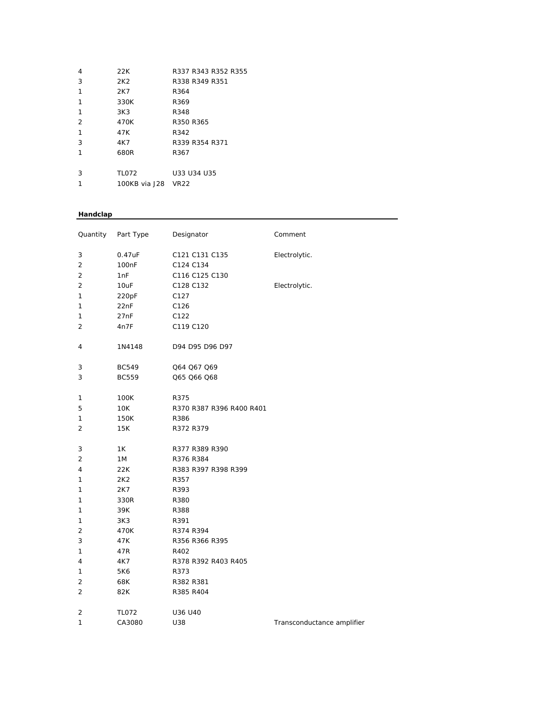| 4              | 22K                | R337 R343 R352 R355 |
|----------------|--------------------|---------------------|
| 3              | 2K <sub>2</sub>    | R338 R349 R351      |
| 1              | 2K7                | R364                |
| 1              | 330K               | R369                |
| 1              | 3K3                | R348                |
| $\overline{2}$ | 470K               | R350 R365           |
| 1              | 47K                | R342                |
| 3              | 4K7                | R339 R354 R371      |
| 1              | 680R               | R367                |
|                |                    |                     |
| 3              | TL072              | U33 U34 U35         |
| 1              | 100KB via J28 VR22 |                     |

## **Handclap**

| Quantity       | Part Type         | Designator               | Comment                    |
|----------------|-------------------|--------------------------|----------------------------|
| 3              | 0.47uF            | C121 C131 C135           | Electrolytic.              |
| $\overline{2}$ | 100 <sub>nF</sub> | C124 C134                |                            |
| 2              | 1nF               | C116 C125 C130           |                            |
| $\overline{2}$ | 10uF              | C128 C132                | Electrolytic.              |
| 1              | 220pF             | C127                     |                            |
| 1              | 22nF              | C126                     |                            |
| 1              | 27nF              | C122                     |                            |
| 2              | 4n7F              | C119 C120                |                            |
| 4              | 1N4148            | D94 D95 D96 D97          |                            |
| 3              | <b>BC549</b>      | Q64 Q67 Q69              |                            |
| 3              | <b>BC559</b>      | Q65 Q66 Q68              |                            |
| 1              | 100K              | R375                     |                            |
| 5              | 10K               | R370 R387 R396 R400 R401 |                            |
| 1              | 150K              | R386                     |                            |
| 2              | 15K               | R372 R379                |                            |
| 3              | 1K                | R377 R389 R390           |                            |
| 2              | 1M                | R376 R384                |                            |
| 4              | 22K               | R383 R397 R398 R399      |                            |
| 1              | 2K <sub>2</sub>   | R357                     |                            |
| 1              | 2K7               | R393                     |                            |
| 1              | 330R              | R380                     |                            |
| 1              | 39K               | R388                     |                            |
| 1              | 3K3               | R391                     |                            |
| $\overline{c}$ | 470K              | R374 R394                |                            |
| 3              | 47K               | R356 R366 R395           |                            |
| 1              | 47R               | R402                     |                            |
| 4              | 4K7               | R378 R392 R403 R405      |                            |
| 1              | 5K6               | R373                     |                            |
| $\overline{c}$ | 68K               | R382 R381                |                            |
| $\overline{2}$ | 82K               | R385 R404                |                            |
| 2              | <b>TL072</b>      | U36 U40                  |                            |
| 1              | CA3080            | U38                      | Transconductance amplifier |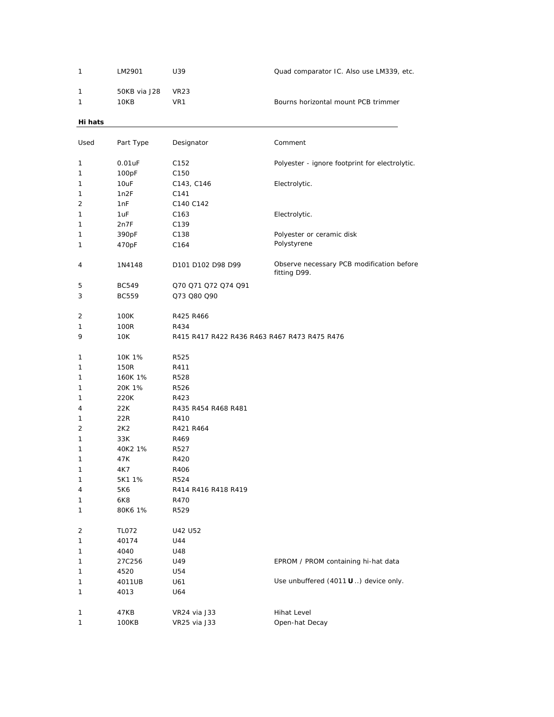| 1       | LM2901       | U39                                          | Quad comparator IC. Also use LM339, etc.                  |
|---------|--------------|----------------------------------------------|-----------------------------------------------------------|
| 1       | 50KB via J28 |                                              |                                                           |
| 1       | 10KB         | <b>VR23</b><br>VR1                           | Bourns horizontal mount PCB trimmer                       |
|         |              |                                              |                                                           |
| Hi hats |              |                                              |                                                           |
| Used    | Part Type    | Designator                                   | Comment                                                   |
| 1       | $0.01$ uF    | C <sub>152</sub>                             | Polyester - ignore footprint for electrolytic.            |
| 1       | 100pF        | C150                                         |                                                           |
| 1       | 10uF         | C143, C146                                   | Electrolytic.                                             |
| 1       | 1n2F         | C141                                         |                                                           |
| 2       | 1nF          | C140 C142                                    |                                                           |
| 1       | 1uF          | C <sub>163</sub>                             | Electrolytic.                                             |
| 1       | 2n7F         | C139                                         |                                                           |
| 1       | 390pF        | C138                                         | Polyester or ceramic disk                                 |
| 1       | 470pF        | C <sub>164</sub>                             | Polystyrene                                               |
|         |              |                                              |                                                           |
| 4       | 1N4148       | D101 D102 D98 D99                            | Observe necessary PCB modification before<br>fitting D99. |
| 5       | <b>BC549</b> | Q70 Q71 Q72 Q74 Q91                          |                                                           |
| 3       | <b>BC559</b> | Q73 Q80 Q90                                  |                                                           |
|         |              |                                              |                                                           |
| 2       | 100K         | R425 R466                                    |                                                           |
| 1       | 100R         | R434                                         |                                                           |
| 9       | 10K          | R415 R417 R422 R436 R463 R467 R473 R475 R476 |                                                           |
|         |              |                                              |                                                           |
| 1       | 10K 1%       | R525                                         |                                                           |
| 1       | 150R         | R411                                         |                                                           |
| 1       | 160K 1%      | R528                                         |                                                           |
| 1       | 20K 1%       | R526                                         |                                                           |
| 1       | 220K         | R423                                         |                                                           |
| 4       | 22K          | R435 R454 R468 R481                          |                                                           |
| 1       | 22R          | R410                                         |                                                           |
| 2       | 2K2          | R421 R464                                    |                                                           |
| 1       | 33K          | R469                                         |                                                           |
| 1       | 40K2 1%      | R527                                         |                                                           |
| 1       | 47K          | R420                                         |                                                           |
| 1       | 4K7          | R406                                         |                                                           |
| 1       | 5K1 1%       | R524                                         |                                                           |
| 4       | 5K6          | R414 R416 R418 R419                          |                                                           |
| 1       | 6K8          | R470                                         |                                                           |
| 1       | 80K6 1%      | R529                                         |                                                           |
| 2       | <b>TL072</b> | U42 U52                                      |                                                           |
| 1       | 40174        | U44                                          |                                                           |
| 1       | 4040         | U48                                          |                                                           |
| 1       | 27C256       | U49                                          | EPROM / PROM containing hi-hat data                       |
| 1       | 4520         | U54                                          |                                                           |
| 1       | 4011UB       | U61                                          | Use unbuffered $(4011 \mathbf{U} )$ device only.          |
| 1       | 4013         | U64                                          |                                                           |
|         |              |                                              |                                                           |
| 1       | 47KB         | VR24 via J33                                 | <b>Hihat Level</b>                                        |
| 1       | 100KB        | VR25 via J33                                 | Open-hat Decay                                            |
|         |              |                                              |                                                           |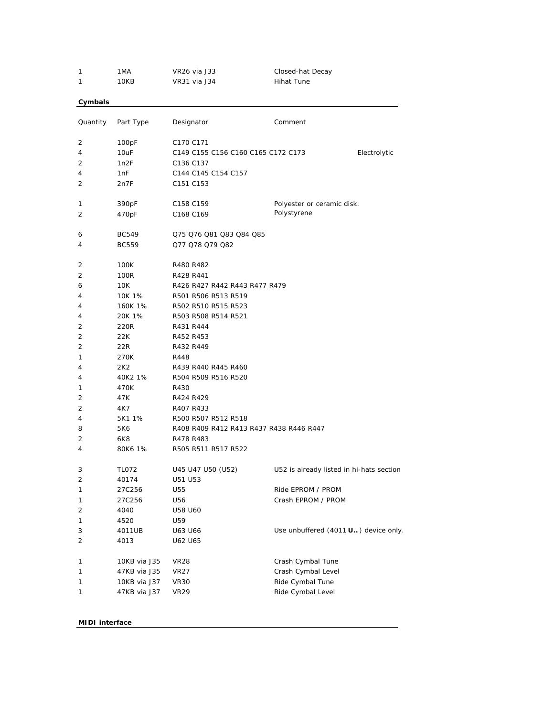| 1        | 1MA          | VR26 via J33                            | Closed-hat Decay                         |
|----------|--------------|-----------------------------------------|------------------------------------------|
| 1        | 10KB         | VR31 via J34                            | <b>Hihat Tune</b>                        |
| Cymbals  |              |                                         |                                          |
|          |              |                                         |                                          |
| Quantity | Part Type    | Designator                              | Comment                                  |
| 2        | 100pF        | C170 C171                               |                                          |
| 4        | 10uF         | C149 C155 C156 C160 C165 C172 C173      | Electrolytic                             |
| 2        | 1n2F         | C136 C137                               |                                          |
| 4        | 1nF          | C144 C145 C154 C157                     |                                          |
| 2        | 2n7F         | C <sub>151</sub> C <sub>153</sub>       |                                          |
| 1        | 390pF        | C158 C159                               | Polyester or ceramic disk.               |
| 2        | 470pF        | C168 C169                               | Polystyrene                              |
| 6        | <b>BC549</b> | Q75 Q76 Q81 Q83 Q84 Q85                 |                                          |
| 4        | <b>BC559</b> | Q77 Q78 Q79 Q82                         |                                          |
| 2        | 100K         | R480 R482                               |                                          |
| 2        | 100R         | R428 R441                               |                                          |
| 6        | 10K          | R426 R427 R442 R443 R477 R479           |                                          |
| 4        | 10K 1%       | R501 R506 R513 R519                     |                                          |
| 4        | 160K 1%      | R502 R510 R515 R523                     |                                          |
| 4        | 20K 1%       | R503 R508 R514 R521                     |                                          |
| 2        | 220R         | R431 R444                               |                                          |
| 2        | 22K          | R452 R453                               |                                          |
| 2        | 22R          | R432 R449                               |                                          |
| 1        | 270K         | R448                                    |                                          |
| 4        | 2K2          | R439 R440 R445 R460                     |                                          |
| 4        | 40K2 1%      | R504 R509 R516 R520                     |                                          |
| 1        | 470K         | R430                                    |                                          |
| 2        | 47K          | R424 R429                               |                                          |
| 2        | 4K7          | R407 R433                               |                                          |
| 4        | 5K1 1%       | R500 R507 R512 R518                     |                                          |
| 8        | 5K6          | R408 R409 R412 R413 R437 R438 R446 R447 |                                          |
| 2        | 6K8          | R478 R483                               |                                          |
| 4        | 80K6 1%      | R505 R511 R517 R522                     |                                          |
| 3        | <b>TL072</b> | U45 U47 U50 (U52)                       | U52 is already listed in hi-hats section |
| 2        | 40174        | U51 U53                                 |                                          |
| 1        | 27C256       | U55                                     | Ride EPROM / PROM                        |
| 1        | 27C256       | U56                                     | Crash EPROM / PROM                       |
| 2        | 4040         | U58 U60                                 |                                          |
| 1        | 4520         | U59                                     |                                          |
| 3        | 4011UB       | U63 U66                                 | Use unbuffered (4011 U) device only.     |
| 2        | 4013         | U62 U65                                 |                                          |
| 1        | 10KB via J35 | VR28                                    | Crash Cymbal Tune                        |
| 1        | 47KB via J35 | <b>VR27</b>                             | Crash Cymbal Level                       |
| 1        | 10KB via J37 | VR <sub>30</sub>                        | Ride Cymbal Tune                         |
| 1        | 47KB via J37 | <b>VR29</b>                             | Ride Cymbal Level                        |
|          |              |                                         |                                          |

**MIDI interface**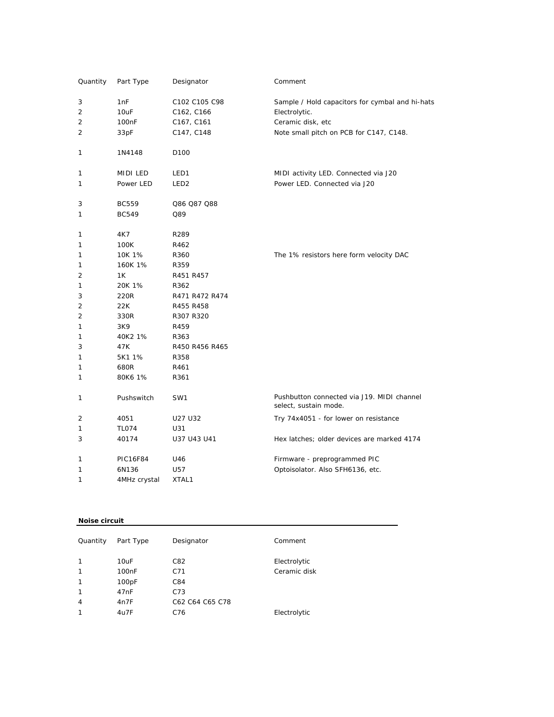| Quantity       | Part Type         | Designator       | Comment                                                             |
|----------------|-------------------|------------------|---------------------------------------------------------------------|
| 3              | 1nF               | C102 C105 C98    | Sample / Hold capacitors for cymbal and hi-hats                     |
| 2              | 10uF              | C162, C166       | Electrolytic.                                                       |
| 2              | 100 <sub>nF</sub> | C167, C161       | Ceramic disk, etc                                                   |
| 2              | 33pF              | C147, C148       | Note small pitch on PCB for C147, C148.                             |
| 1              | 1N4148            | D <sub>100</sub> |                                                                     |
| 1              | MIDI LED          | LED1             | MIDI activity LED. Connected via J20                                |
| 1              | Power LED         | LED <sub>2</sub> | Power LED. Connected via J20                                        |
| 3              | <b>BC559</b>      | Q86 Q87 Q88      |                                                                     |
| 1              | <b>BC549</b>      | Q89              |                                                                     |
| 1              | 4K7               | R289             |                                                                     |
| 1              | 100K              | R462             |                                                                     |
| 1              | 10K 1%            | R360             | The 1% resistors here form velocity DAC                             |
| 1              | 160K 1%           | R359             |                                                                     |
| 2              | 1K                | R451 R457        |                                                                     |
| 1              | 20K 1%            | R362             |                                                                     |
| 3              | 220R              | R471 R472 R474   |                                                                     |
| 2              | 22K               | R455 R458        |                                                                     |
| 2              | 330R              | R307 R320        |                                                                     |
| 1              | 3K9               | R459             |                                                                     |
| 1              | 40K2 1%           | R363             |                                                                     |
| 3              | 47K               | R450 R456 R465   |                                                                     |
| 1              | 5K1 1%            | R358             |                                                                     |
| 1              | 680R              | R461             |                                                                     |
| 1              | 80K6 1%           | R361             |                                                                     |
| 1              | Pushswitch        | SW1              | Pushbutton connected via J19. MIDI channel<br>select, sustain mode. |
| $\overline{2}$ | 4051              | U27 U32          | Try 74x4051 - for lower on resistance                               |
| 1              | <b>TL074</b>      | U31              |                                                                     |
| 3              | 40174             | U37 U43 U41      | Hex latches; older devices are marked 4174                          |
| 1              | <b>PIC16F84</b>   | U46              | Firmware - preprogrammed PIC                                        |
| 1              | 6N136             | U57              | Optoisolator. Also SFH6136, etc.                                    |
| 1              | 4MHz crystal      | XTAL1            |                                                                     |

#### **Noise circuit**

| Quantity       | Part Type          | Designator      | Comment      |
|----------------|--------------------|-----------------|--------------|
| $\mathbf{1}$   | 10uF               | C82             | Electrolytic |
| $\mathbf{1}$   | 100 <sub>n</sub> F | C71             | Ceramic disk |
| $\mathbf{1}$   | 100pF              | C84             |              |
| $\mathbf{1}$   | 47nF               | C73             |              |
| $\overline{4}$ | 4n7F               | C62 C64 C65 C78 |              |
| $\mathbf{1}$   | 4u7F               | C76             | Electrolytic |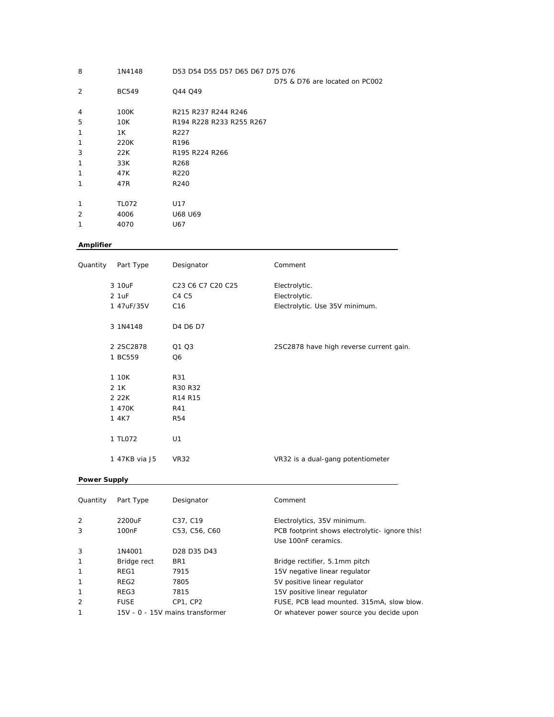| 8              | D53 D54 D55 D57 D65 D67 D75 D76<br>1N4148 |                                |
|----------------|-------------------------------------------|--------------------------------|
|                |                                           | D75 & D76 are located on PC002 |
| $\overline{2}$ | <b>BC549</b>                              | Q44 Q49                        |
| 4              | 100K                                      | R215 R237 R244 R246            |
| 5              | 10K                                       | R194 R228 R233 R255 R267       |
| 1              | 1K                                        | R227                           |
| 1              | 220K                                      | R <sub>196</sub>               |
| 3              | 22K                                       | R195 R224 R266                 |
| 1              | 33K                                       | R268                           |
| 1              | 47K                                       | R <sub>220</sub>               |
| 1              | 47R                                       | R240                           |
|                |                                           |                                |
| 1              | <b>TL072</b>                              | U17                            |
| $\overline{2}$ | 4006                                      | U68 U69                        |
| 1              | 4070                                      | U67                            |
|                |                                           |                                |

# **Amplifier**

| Quantity | Part Type      | Designator        | Comment                                 |
|----------|----------------|-------------------|-----------------------------------------|
|          | 3 10uF         | C23 C6 C7 C20 C25 | Electrolytic.                           |
|          | 2 1uF          | C4 C5             | Electrolytic.                           |
|          | 1 47uF/35V     | C16               | Electrolytic. Use 35V minimum.          |
|          | 3 1N4148       | D4 D6 D7          |                                         |
|          | 2 2 SC 2 8 7 8 | Q1 Q3             | 2SC2878 have high reverse current gain. |
|          | 1 BC559        | Q <sub>6</sub>    |                                         |
|          | 1 10K          | R31               |                                         |
|          | 2 1 K          | R30 R32           |                                         |
|          | 2 2 2 K        | R14 R15           |                                         |
|          | 1 470K         | R41               |                                         |
|          | 1 4K7          | <b>R54</b>        |                                         |
|          | 1 TL072        | U1                |                                         |
|          | 1 47KB via J5  | <b>VR32</b>       | VR32 is a dual-gang potentiometer       |

## **Power Supply**

| Quantity       | Part Type                       | Designator                                      | Comment                                        |
|----------------|---------------------------------|-------------------------------------------------|------------------------------------------------|
| 2              | 2200uF                          | C37, C19                                        | Electrolytics, 35V minimum.                    |
| 3              | 100 <sub>n</sub> F              | C53, C56, C60                                   | PCB footprint shows electrolytic- ignore this! |
|                |                                 |                                                 | Use 100nF ceramics.                            |
| 3              | 1N4001                          | D <sub>28</sub> D <sub>35</sub> D <sub>43</sub> |                                                |
| $\mathbf{1}$   | Bridge rect                     | BR <sub>1</sub>                                 | Bridge rectifier, 5.1mm pitch                  |
| $\mathbf{1}$   | REG1                            | 7915                                            | 15V negative linear regulator                  |
| -1             | REG2                            | 7805                                            | 5V positive linear regulator                   |
| 1              | REG3                            | 7815                                            | 15V positive linear regulator                  |
| $\overline{2}$ | <b>FUSE</b>                     | CP1, CP2                                        | FUSE, PCB lead mounted. 315mA, slow blow.      |
| 1              | 15V - 0 - 15V mains transformer |                                                 | Or whatever power source you decide upon       |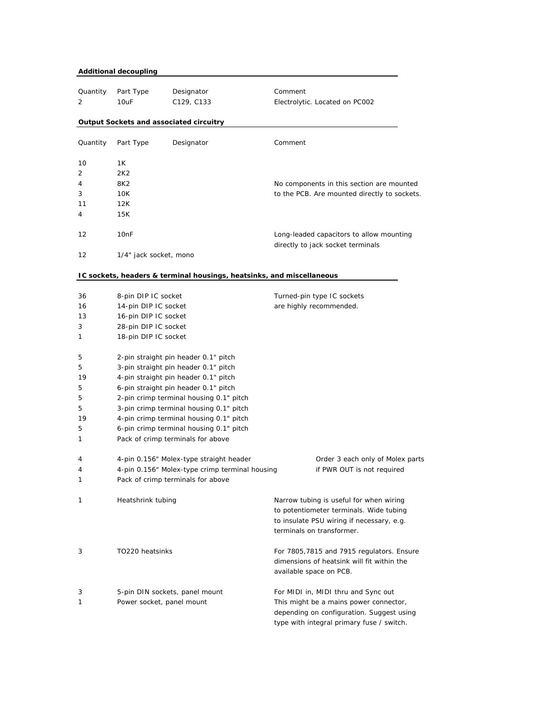| <b>Additional decoupling</b> |                        |                                                                       |                                                                                                                                                              |  |
|------------------------------|------------------------|-----------------------------------------------------------------------|--------------------------------------------------------------------------------------------------------------------------------------------------------------|--|
| Quantity                     | Part Type              | Designator                                                            | Comment                                                                                                                                                      |  |
| 2                            | 10uF                   | C129, C133                                                            | Electrolytic. Located on PC002                                                                                                                               |  |
|                              |                        | Output Sockets and associated circuitry                               |                                                                                                                                                              |  |
|                              |                        |                                                                       |                                                                                                                                                              |  |
| Quantity                     | Part Type              | Designator                                                            | Comment                                                                                                                                                      |  |
| 10                           | 1Κ                     |                                                                       |                                                                                                                                                              |  |
| 2                            | 2K2                    |                                                                       |                                                                                                                                                              |  |
| 4                            | 8K2                    |                                                                       | No components in this section are mounted                                                                                                                    |  |
| 3                            | 10K                    |                                                                       | to the PCB. Are mounted directly to sockets.                                                                                                                 |  |
| 11                           | 12K                    |                                                                       |                                                                                                                                                              |  |
| 4                            | 15K                    |                                                                       |                                                                                                                                                              |  |
| 12                           | 10 <sub>nF</sub>       |                                                                       | Long-leaded capacitors to allow mounting<br>directly to jack socket terminals                                                                                |  |
| 12                           | 1/4" jack socket, mono |                                                                       |                                                                                                                                                              |  |
|                              |                        | IC sockets, headers & terminal housings, heatsinks, and miscellaneous |                                                                                                                                                              |  |
| 36                           | 8-pin DIP IC socket    |                                                                       | Turned-pin type IC sockets                                                                                                                                   |  |
| 16                           | 14-pin DIP IC socket   |                                                                       | are highly recommended.                                                                                                                                      |  |
| 13                           | 16-pin DIP IC socket   |                                                                       |                                                                                                                                                              |  |
| 3                            | 28-pin DIP IC socket   |                                                                       |                                                                                                                                                              |  |
| 1                            | 18-pin DIP IC socket   |                                                                       |                                                                                                                                                              |  |
| 5                            |                        | 2-pin straight pin header 0.1" pitch                                  |                                                                                                                                                              |  |
| 5                            |                        | 3-pin straight pin header 0.1" pitch                                  |                                                                                                                                                              |  |
| 19                           |                        | 4-pin straight pin header 0.1" pitch                                  |                                                                                                                                                              |  |
| 5                            |                        | 6-pin straight pin header 0.1" pitch                                  |                                                                                                                                                              |  |
| 5                            |                        | 2-pin crimp terminal housing 0.1" pitch                               |                                                                                                                                                              |  |
| 5                            |                        | 3-pin crimp terminal housing 0.1" pitch                               |                                                                                                                                                              |  |
| 19                           |                        | 4-pin crimp terminal housing 0.1" pitch                               |                                                                                                                                                              |  |
| 5                            |                        | 6-pin crimp terminal housing 0.1" pitch                               |                                                                                                                                                              |  |
| 1                            |                        | Pack of crimp terminals for above                                     |                                                                                                                                                              |  |
| 4                            |                        | 4-pin 0.156" Molex-type straight header                               | Order 3 each only of Molex parts                                                                                                                             |  |
| 4                            |                        | 4-pin 0.156" Molex-type crimp terminal housing                        | if PWR OUT is not required                                                                                                                                   |  |
| 1                            |                        | Pack of crimp terminals for above                                     |                                                                                                                                                              |  |
| 1                            | Heatshrink tubing      |                                                                       | Narrow tubing is useful for when wiring<br>to potentiometer terminals. Wide tubing<br>to insulate PSU wiring if necessary, e.g.<br>terminals on transformer. |  |
| 3                            | TO220 heatsinks        |                                                                       | For 7805, 7815 and 7915 regulators. Ensure<br>dimensions of heatsink will fit within the<br>available space on PCB.                                          |  |
| 3                            |                        | 5-pin DIN sockets, panel mount                                        | For MIDI in, MIDI thru and Sync out                                                                                                                          |  |
| 1                            |                        | Power socket, panel mount                                             | This might be a mains power connector,                                                                                                                       |  |
|                              |                        |                                                                       | depending on configuration. Suggest using<br>type with integral primary fuse / switch.                                                                       |  |